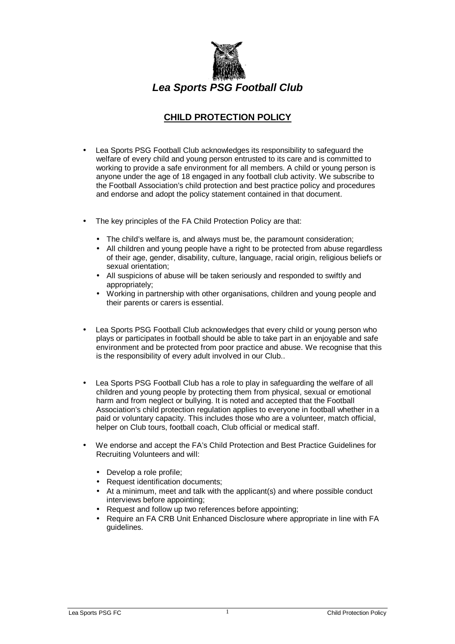

## **CHILD PROTECTION POLICY**

- Lea Sports PSG Football Club acknowledges its responsibility to safeguard the welfare of every child and young person entrusted to its care and is committed to working to provide a safe environment for all members. A child or young person is anyone under the age of 18 engaged in any football club activity. We subscribe to the Football Association's child protection and best practice policy and procedures and endorse and adopt the policy statement contained in that document.
- The key principles of the FA Child Protection Policy are that:
	- The child's welfare is, and always must be, the paramount consideration;
	- All children and young people have a right to be protected from abuse regardless of their age, gender, disability, culture, language, racial origin, religious beliefs or sexual orientation;
	- All suspicions of abuse will be taken seriously and responded to swiftly and appropriately;
	- Working in partnership with other organisations, children and young people and their parents or carers is essential.
- Lea Sports PSG Football Club acknowledges that every child or young person who plays or participates in football should be able to take part in an enjoyable and safe environment and be protected from poor practice and abuse. We recognise that this is the responsibility of every adult involved in our Club..
- Lea Sports PSG Football Club has a role to play in safeguarding the welfare of all children and young people by protecting them from physical, sexual or emotional harm and from neglect or bullying. It is noted and accepted that the Football Association's child protection regulation applies to everyone in football whether in a paid or voluntary capacity. This includes those who are a volunteer, match official, helper on Club tours, football coach, Club official or medical staff.
- We endorse and accept the FA's Child Protection and Best Practice Guidelines for Recruiting Volunteers and will:
	- Develop a role profile;
	- Request identification documents;
	- At a minimum, meet and talk with the applicant(s) and where possible conduct interviews before appointing;
	- Request and follow up two references before appointing;
	- Require an FA CRB Unit Enhanced Disclosure where appropriate in line with FA guidelines.